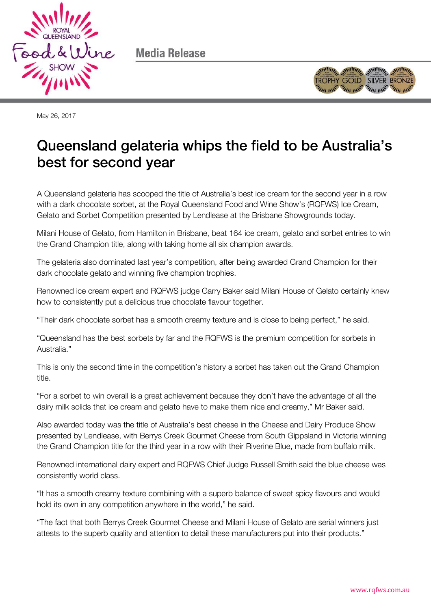

Media Release



May 26, 2017

# Queensland gelateria whips the field to be Australia's best for second year  $\mathbf{b}$

A Queensland gelateria has scooped the title of Australia's best ice cream for the second year in a row with a dark chocolate sorbet, at the Royal Queensland Food and Wine Show's (RQFWS) Ice Cream, Gelato and Sorbet Competition presented by Lendlease at the Brisbane Showgrounds today.

Milani House of Gelato, from Hamilton in Brisbane, beat 164 ice cream, gelato and sorbet entries to win the Grand Champion title, along with taking home all six champion awards.

The gelateria also dominated last year's competition, after being awarded Grand Champion for their dark chocolate gelato and winning five champion trophies.

Renowned ice cream expert and RQFWS judge Garry Baker said Milani House of Gelato certainly knew how to consistently put a delicious true chocolate flavour together.

"Their dark chocolate sorbet has a smooth creamy texture and is close to being perfect," he said.

"Queensland has the best sorbets by far and the RQFWS is the premium competition for sorbets in Australia."

This is only the second time in the competition's history a sorbet has taken out the Grand Champion title.

"For a sorbet to win overall is a great achievement because they don't have the advantage of all the dairy milk solids that ice cream and gelato have to make them nice and creamy," Mr Baker said.

Also awarded today was the title of Australia's best cheese in the Cheese and Dairy Produce Show presented by Lendlease, with Berrys Creek Gourmet Cheese from South Gippsland in Victoria winning the Grand Champion title for the third year in a row with their Riverine Blue, made from buffalo milk.

Renowned international dairy expert and RQFWS Chief Judge Russell Smith said the blue cheese was consistently world class.

"It has a smooth creamy texture combining with a superb balance of sweet spicy flavours and would hold its own in any competition anywhere in the world," he said.

"The fact that both Berrys Creek Gourmet Cheese and Milani House of Gelato are serial winners just attests to the superb quality and attention to detail these manufacturers put into their products."